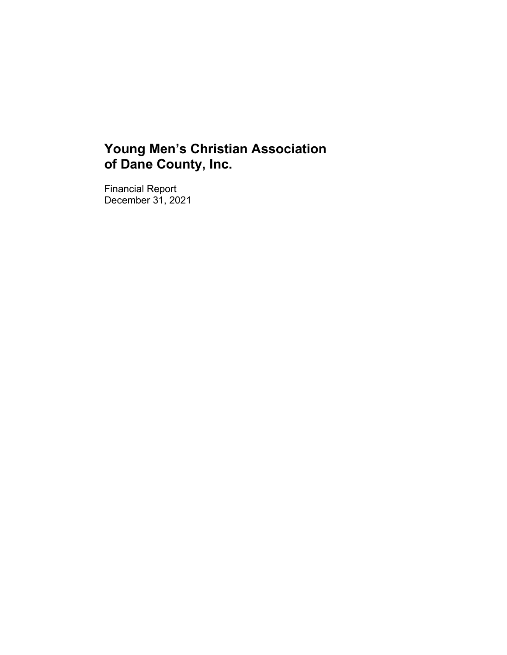Financial Report December 31, 2021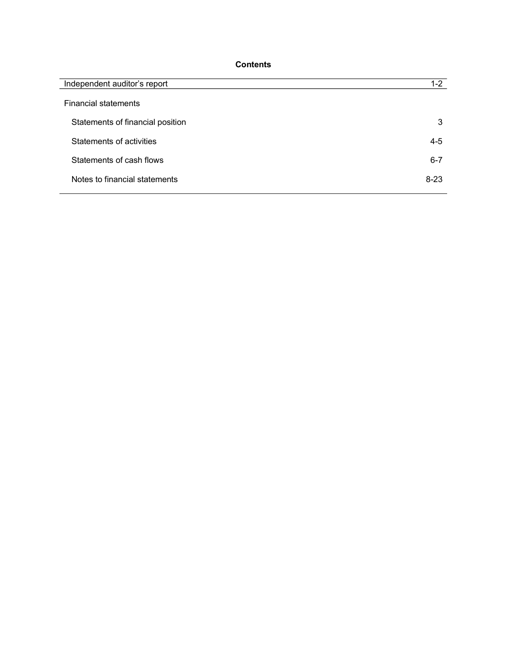# **Contents**

| Independent auditor's report     | $1 - 2$  |
|----------------------------------|----------|
| <b>Financial statements</b>      |          |
| Statements of financial position | 3        |
| Statements of activities         | $4 - 5$  |
| Statements of cash flows         | $6 - 7$  |
| Notes to financial statements    | $8 - 23$ |
|                                  |          |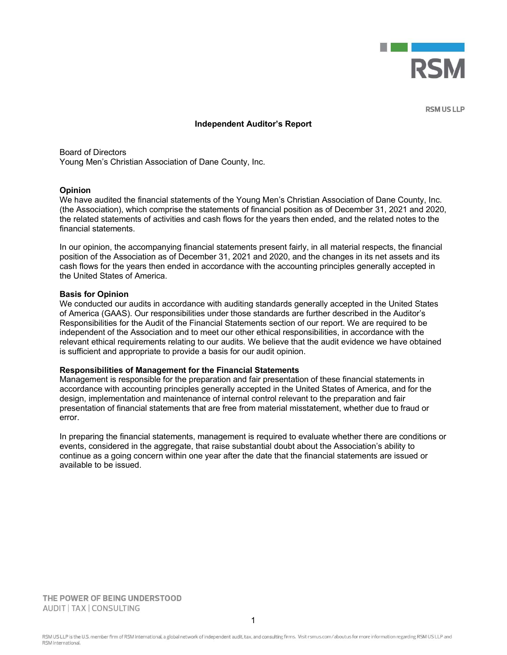

**RSM US LLP** 

#### Independent Auditor's Report

Board of Directors Young Men's Christian Association of Dane County, Inc.

#### **Opinion**

We have audited the financial statements of the Young Men's Christian Association of Dane County, Inc. (the Association), which comprise the statements of financial position as of December 31, 2021 and 2020, the related statements of activities and cash flows for the years then ended, and the related notes to the financial statements.

In our opinion, the accompanying financial statements present fairly, in all material respects, the financial position of the Association as of December 31, 2021 and 2020, and the changes in its net assets and its cash flows for the years then ended in accordance with the accounting principles generally accepted in the United States of America.

#### Basis for Opinion

We conducted our audits in accordance with auditing standards generally accepted in the United States of America (GAAS). Our responsibilities under those standards are further described in the Auditor's Responsibilities for the Audit of the Financial Statements section of our report. We are required to be independent of the Association and to meet our other ethical responsibilities, in accordance with the relevant ethical requirements relating to our audits. We believe that the audit evidence we have obtained is sufficient and appropriate to provide a basis for our audit opinion.

#### Responsibilities of Management for the Financial Statements

Management is responsible for the preparation and fair presentation of these financial statements in accordance with accounting principles generally accepted in the United States of America, and for the design, implementation and maintenance of internal control relevant to the preparation and fair presentation of financial statements that are free from material misstatement, whether due to fraud or error.

In preparing the financial statements, management is required to evaluate whether there are conditions or events, considered in the aggregate, that raise substantial doubt about the Association's ability to continue as a going concern within one year after the date that the financial statements are issued or available to be issued.

THE POWER OF BEING UNDERSTOOD AUDIT | TAX | CONSULTING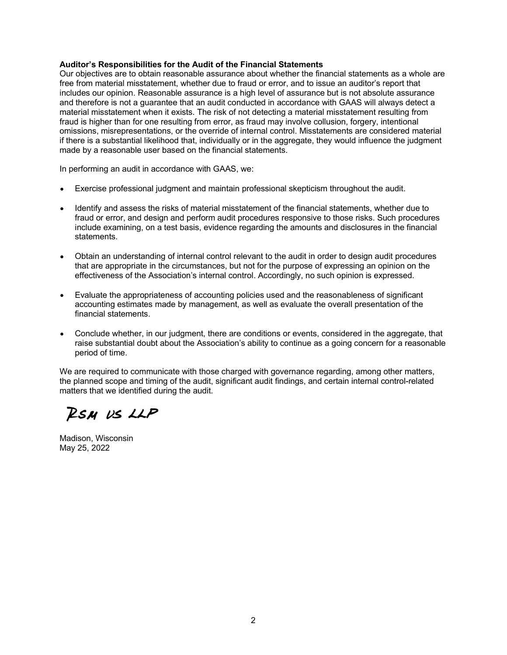#### Auditor's Responsibilities for the Audit of the Financial Statements

Our objectives are to obtain reasonable assurance about whether the financial statements as a whole are free from material misstatement, whether due to fraud or error, and to issue an auditor's report that includes our opinion. Reasonable assurance is a high level of assurance but is not absolute assurance and therefore is not a guarantee that an audit conducted in accordance with GAAS will always detect a material misstatement when it exists. The risk of not detecting a material misstatement resulting from fraud is higher than for one resulting from error, as fraud may involve collusion, forgery, intentional omissions, misrepresentations, or the override of internal control. Misstatements are considered material if there is a substantial likelihood that, individually or in the aggregate, they would influence the judgment made by a reasonable user based on the financial statements.

In performing an audit in accordance with GAAS, we:

- Exercise professional judgment and maintain professional skepticism throughout the audit.
- Identify and assess the risks of material misstatement of the financial statements, whether due to fraud or error, and design and perform audit procedures responsive to those risks. Such procedures include examining, on a test basis, evidence regarding the amounts and disclosures in the financial statements.
- Obtain an understanding of internal control relevant to the audit in order to design audit procedures that are appropriate in the circumstances, but not for the purpose of expressing an opinion on the effectiveness of the Association's internal control. Accordingly, no such opinion is expressed.
- Evaluate the appropriateness of accounting policies used and the reasonableness of significant accounting estimates made by management, as well as evaluate the overall presentation of the financial statements.
- Conclude whether, in our judgment, there are conditions or events, considered in the aggregate, that raise substantial doubt about the Association's ability to continue as a going concern for a reasonable period of time.

We are required to communicate with those charged with governance regarding, among other matters, the planned scope and timing of the audit, significant audit findings, and certain internal control-related matters that we identified during the audit.

**RSM US LLP** 

Madison, Wisconsin May 25, 2022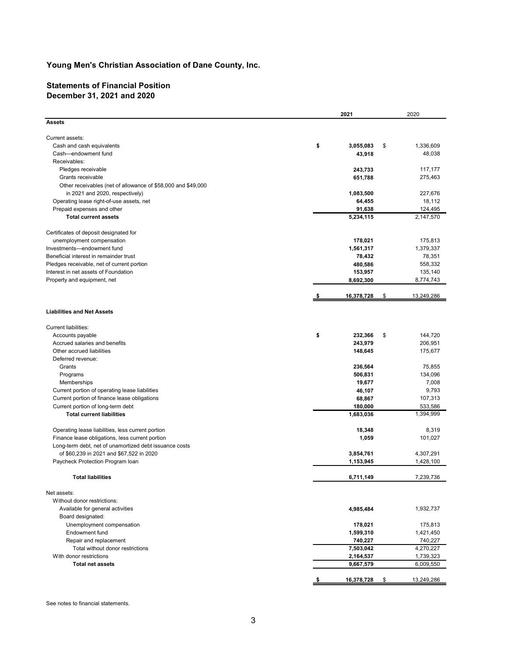# Statements of Financial Position December 31, 2021 and 2020

| Young Men's Christian Association of Dane County, Inc.                                                    |      |                      |                      |
|-----------------------------------------------------------------------------------------------------------|------|----------------------|----------------------|
|                                                                                                           |      |                      |                      |
| <b>Statements of Financial Position</b><br>December 31, 2021 and 2020                                     |      |                      |                      |
|                                                                                                           | 2021 |                      | 2020                 |
| <b>Assets</b>                                                                                             |      |                      |                      |
| Current assets:                                                                                           |      |                      |                      |
| Cash and cash equivalents                                                                                 | \$   | 3,055,083<br>\$      | 1,336,609            |
| Cash-endowment fund                                                                                       |      | 43,918               | 48,038               |
| Receivables:                                                                                              |      |                      |                      |
| Pledges receivable                                                                                        |      | 243,733              | 117,177              |
| Grants receivable                                                                                         |      | 651,788              | 275,463              |
| Other receivables (net of allowance of \$58,000 and \$49,000<br>in 2021 and 2020, respectively)           |      |                      | 227,676              |
| Operating lease right-of-use assets, net                                                                  |      | 1,083,500<br>64,455  | 18,112               |
| Prepaid expenses and other                                                                                |      | 91,638               | 124,495              |
| <b>Total current assets</b>                                                                               |      | 5,234,115            | 2,147,570            |
|                                                                                                           |      |                      |                      |
| Certificates of deposit designated for                                                                    |      |                      |                      |
| unemployment compensation<br>Investments-endowment fund                                                   |      | 178,021<br>1,561,317 | 175,813<br>1,379,337 |
| Beneficial interest in remainder trust                                                                    |      | 78,432               | 78,351               |
| Pledges receivable, net of current portion                                                                |      | 480,586              | 558,332              |
| Interest in net assets of Foundation                                                                      |      | 153,957              | 135,140              |
| Property and equipment, net                                                                               |      | 8,692,300            | 8,774,743            |
|                                                                                                           |      | \$                   | 13,249,286           |
|                                                                                                           |      | 16,378,728           |                      |
| <b>Liabilities and Net Assets</b>                                                                         |      |                      |                      |
| Current liabilities:                                                                                      |      |                      |                      |
| Accounts payable                                                                                          | \$   | 232.366<br>\$        | 144,720              |
| Accrued salaries and benefits                                                                             |      | 243,979              | 206,951              |
| Other accrued liabilities                                                                                 |      | 148,645              | 175,677              |
| Deferred revenue:                                                                                         |      |                      |                      |
| Grants                                                                                                    |      | 236,564              | 75,855               |
| Programs                                                                                                  |      | 506,831              | 134,096              |
| Memberships<br>Current portion of operating lease liabilities                                             |      | 19,677<br>46,107     | 7,008<br>9,793       |
| Current portion of finance lease obligations                                                              |      | 68,867               | 107,313              |
| Current portion of long-term debt                                                                         |      | 180,000              | 533,586              |
| <b>Total current liabilities</b>                                                                          |      | 1,683,036            | 1,394,999            |
|                                                                                                           |      |                      |                      |
| Operating lease liabilities, less current portion                                                         |      | 18,348               | 8,319                |
| Finance lease obligations, less current portion<br>Long-term debt, net of unamortized debt issuance costs |      | 1,059                | 101,027              |
| of \$60,239 in 2021 and \$67,522 in 2020                                                                  |      | 3,854,761            | 4,307,291            |
| Paycheck Protection Program Ioan                                                                          |      | 1,153,945            | 1,428,100            |
|                                                                                                           |      |                      |                      |
| <b>Total liabilities</b>                                                                                  |      | 6,711,149            | 7,239,736            |
| Net assets:                                                                                               |      |                      |                      |
| Without donor restrictions:                                                                               |      |                      |                      |
| Available for general activities                                                                          |      | 4,985,484            | 1,932,737            |
| Board designated:                                                                                         |      |                      |                      |
| Unemployment compensation                                                                                 |      | 178,021              | 175,813              |
| Endowment fund                                                                                            |      | 1,599,310            | 1,421,450            |
| Repair and replacement<br>Total without donor restrictions                                                |      | 740,227<br>7,503,042 | 740,227<br>4,270,227 |
| With donor restrictions                                                                                   |      | 2,164,537            | 1,739,323            |
| <b>Total net assets</b>                                                                                   |      | 9,667,579            | 6,009,550            |
|                                                                                                           |      |                      |                      |
|                                                                                                           |      |                      |                      |
|                                                                                                           |      | 16,378,728<br>\$     | 13,249,286           |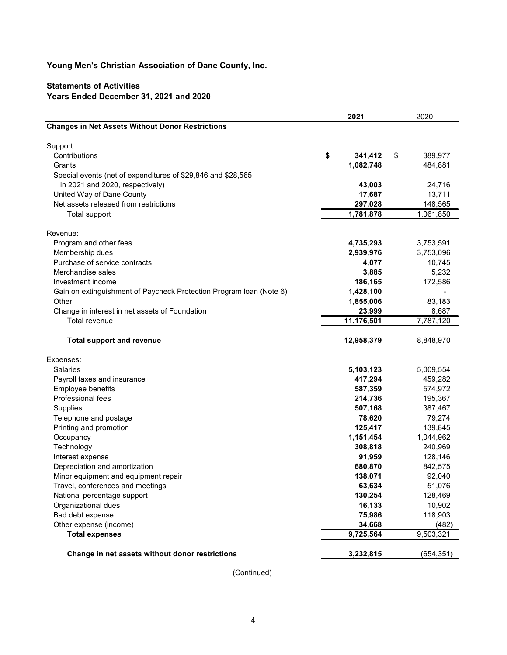# Statements of Activities Years Ended December 31, 2021 and 2020

|                                                                     | 2021          |     | 2020                     |
|---------------------------------------------------------------------|---------------|-----|--------------------------|
| <b>Changes in Net Assets Without Donor Restrictions</b>             |               |     |                          |
| Support:                                                            |               |     |                          |
| Contributions                                                       | \$<br>341,412 | -\$ | 389,977                  |
| Grants                                                              | 1,082,748     |     | 484,881                  |
| Special events (net of expenditures of \$29,846 and \$28,565        |               |     |                          |
| in 2021 and 2020, respectively)                                     | 43,003        |     | 24,716                   |
| United Way of Dane County                                           | 17,687        |     | 13,711                   |
| Net assets released from restrictions                               | 297,028       |     | 148,565                  |
| Total support                                                       | 1,781,878     |     | 1,061,850                |
| Revenue:                                                            |               |     |                          |
| Program and other fees                                              | 4,735,293     |     | 3,753,591                |
| Membership dues                                                     | 2,939,976     |     | 3,753,096                |
| Purchase of service contracts                                       | 4,077         |     | 10,745                   |
| Merchandise sales                                                   | 3,885         |     | 5,232                    |
| Investment income                                                   | 186,165       |     | 172,586                  |
| Gain on extinguishment of Paycheck Protection Program Ioan (Note 6) | 1,428,100     |     | $\overline{\phantom{a}}$ |
| Other                                                               | 1,855,006     |     | 83,183                   |
| Change in interest in net assets of Foundation                      | 23,999        |     | 8,687                    |
| Total revenue                                                       | 11,176,501    |     | 7,787,120                |
| <b>Total support and revenue</b>                                    | 12,958,379    |     | 8,848,970                |
| Expenses:                                                           |               |     |                          |
| Salaries                                                            | 5,103,123     |     | 5,009,554                |
| Payroll taxes and insurance                                         | 417,294       |     | 459,282                  |
| Employee benefits                                                   | 587,359       |     | 574,972                  |
| Professional fees                                                   | 214,736       |     | 195,367                  |
| Supplies                                                            | 507,168       |     | 387,467                  |
| Telephone and postage                                               | 78,620        |     | 79,274                   |
| Printing and promotion                                              | 125,417       |     | 139,845                  |
| Occupancy                                                           | 1,151,454     |     | 1,044,962                |
| Technology                                                          | 308,818       |     | 240,969                  |
| Interest expense                                                    | 91,959        |     | 128,146                  |
| Depreciation and amortization                                       | 680,870       |     | 842,575                  |
| Minor equipment and equipment repair                                | 138,071       |     | 92,040                   |
| Travel, conferences and meetings                                    | 63,634        |     | 51,076                   |
| National percentage support                                         | 130,254       |     | 128,469                  |
| Organizational dues                                                 | 16,133        |     | 10,902                   |
| Bad debt expense                                                    | 75,986        |     | 118,903                  |
|                                                                     |               |     |                          |
| Other expense (income)                                              | 34,668        |     | (482)                    |
| <b>Total expenses</b>                                               | 9,725,564     |     | 9,503,321                |
| Change in net assets without donor restrictions                     | 3,232,815     |     | (654, 351)               |
| (Continued)                                                         |               |     |                          |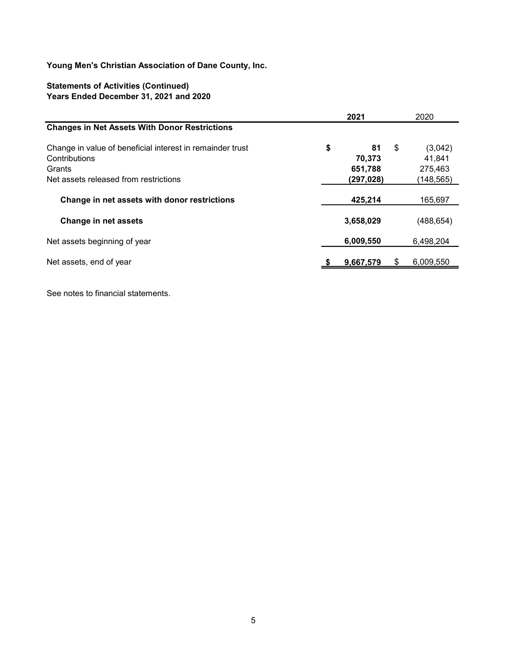# Statements of Activities (Continued) Years Ended December 31, 2021 and 2020

| Young Men's Christian Association of Dane County, Inc.                                |            |                           |            |
|---------------------------------------------------------------------------------------|------------|---------------------------|------------|
| <b>Statements of Activities (Continued)</b><br>Years Ended December 31, 2021 and 2020 |            |                           |            |
|                                                                                       | 2021       |                           | 2020       |
| <b>Changes in Net Assets With Donor Restrictions</b>                                  |            |                           |            |
| Change in value of beneficial interest in remainder trust                             | \$<br>81   | $\boldsymbol{\mathsf{s}}$ | (3,042)    |
| Contributions                                                                         | 70,373     |                           | 41,841     |
| Grants                                                                                | 651,788    |                           | 275,463    |
| Net assets released from restrictions                                                 | (297, 028) |                           | (148,565)  |
| Change in net assets with donor restrictions                                          | 425,214    |                           | 165,697    |
| <b>Change in net assets</b>                                                           | 3,658,029  |                           | (488, 654) |
| Net assets beginning of year                                                          | 6,009,550  |                           | 6,498,204  |
| Net assets, end of year                                                               | 9,667,579  | S.                        | 6,009,550  |

See notes to financial statements.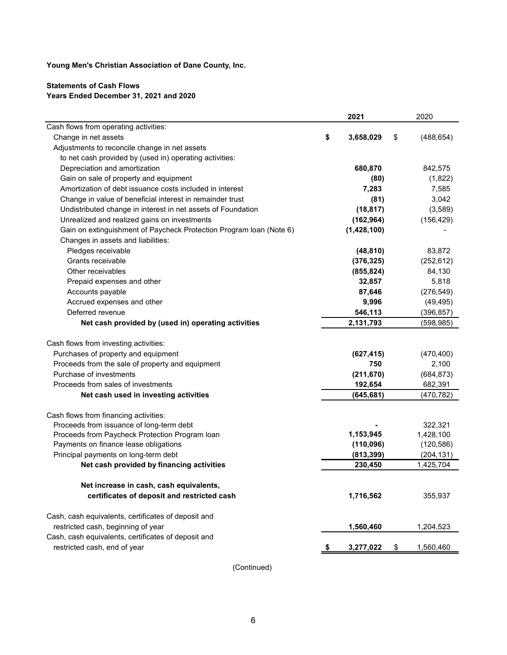## Statements of Cash Flows Years Ended December 31, 2021 and 2020

|                                                                                   | 2021            | 2020             |
|-----------------------------------------------------------------------------------|-----------------|------------------|
| Cash flows from operating activities:                                             |                 |                  |
| Change in net assets                                                              | \$<br>3,658,029 | \$<br>(488, 654) |
| Adjustments to reconcile change in net assets                                     |                 |                  |
| to net cash provided by (used in) operating activities:                           |                 |                  |
| Depreciation and amortization                                                     | 680,870         | 842,575          |
| Gain on sale of property and equipment                                            | (80)            | (1,822)          |
| Amortization of debt issuance costs included in interest                          | 7,283           | 7,585            |
| Change in value of beneficial interest in remainder trust                         | (81)            | 3,042            |
| Undistributed change in interest in net assets of Foundation                      | (18, 817)       | (3,589)          |
| Unrealized and realized gains on investments                                      | (162, 964)      | (156, 429)       |
| Gain on extinguishment of Paycheck Protection Program Ioan (Note 6)               | (1,428,100)     |                  |
| Changes in assets and liabilities:                                                |                 |                  |
| Pledges receivable                                                                | (48, 810)       | 83,872           |
| Grants receivable                                                                 | (376, 325)      | (252, 612)       |
| Other receivables                                                                 | (855, 824)      | 84,130           |
| Prepaid expenses and other                                                        | 32,857          | 5,818            |
| Accounts payable                                                                  | 87,646          | (276, 549)       |
| Accrued expenses and other                                                        | 9,996           | (49, 495)        |
| Deferred revenue                                                                  | 546,113         | (396, 857)       |
| Net cash provided by (used in) operating activities                               | 2,131,793       | (598, 985)       |
| Cash flows from investing activities:                                             |                 |                  |
| Purchases of property and equipment                                               | (627, 415)      | (470, 400)       |
| Proceeds from the sale of property and equipment                                  | 750             | 2,100            |
| Purchase of investments                                                           | (211, 670)      | (684, 873)       |
| Proceeds from sales of investments                                                | 192,654         | 682,391          |
| Net cash used in investing activities                                             | (645, 681)      | (470, 782)       |
|                                                                                   |                 |                  |
| Cash flows from financing activities:<br>Proceeds from issuance of long-term debt |                 | 322,321          |
| Proceeds from Paycheck Protection Program loan                                    | 1,153,945       | 1,428,100        |
| Payments on finance lease obligations                                             | (110, 096)      | (120, 586)       |
| Principal payments on long-term debt                                              | (813, 399)      | (204, 131)       |
| Net cash provided by financing activities                                         | 230,450         | 1,425,704        |
|                                                                                   |                 |                  |
| Net increase in cash, cash equivalents,                                           |                 |                  |
| certificates of deposit and restricted cash                                       | 1,716,562       | 355,937          |
| Cash, cash equivalents, certificates of deposit and                               |                 |                  |
| restricted cash, beginning of year                                                | 1,560,460       | 1,204,523        |
| Cash, cash equivalents, certificates of deposit and                               |                 |                  |
| restricted cash, end of year                                                      | 3,277,022       | \$<br>1,560,460  |

(Continued)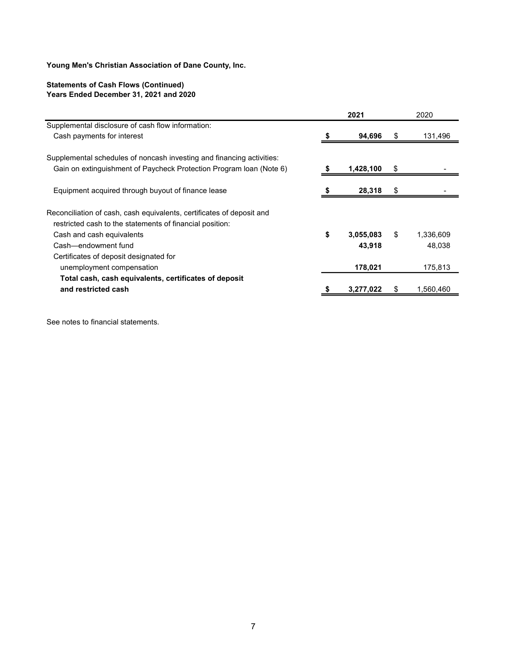# Statements of Cash Flows (Continued) Years Ended December 31, 2021 and 2020

|                                                                       | 2021            |      | 2020      |
|-----------------------------------------------------------------------|-----------------|------|-----------|
| Supplemental disclosure of cash flow information:                     |                 |      |           |
| Cash payments for interest                                            | 94,696          | - 35 | 131,496   |
| Supplemental schedules of noncash investing and financing activities: |                 |      |           |
| Gain on extinguishment of Paycheck Protection Program Ioan (Note 6)   | 1,428,100       | S.   |           |
| Equipment acquired through buyout of finance lease                    | 28,318          | \$   |           |
| Reconciliation of cash, cash equivalents, certificates of deposit and |                 |      |           |
| restricted cash to the statements of financial position:              |                 |      |           |
| Cash and cash equivalents                                             | \$<br>3,055,083 | \$   | 1,336,609 |
| Cash-endowment fund                                                   | 43,918          |      | 48,038    |
| Certificates of deposit designated for                                |                 |      |           |
| unemployment compensation                                             | 178,021         |      | 175,813   |
| Total cash, cash equivalents, certificates of deposit                 |                 |      |           |
| and restricted cash                                                   | 3,277,022       | S.   | 1,560,460 |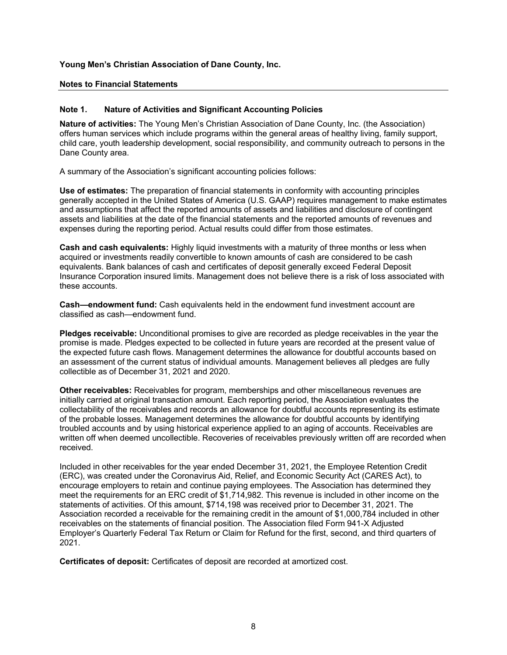### Notes to Financial Statements

#### Note 1. Nature of Activities and Significant Accounting Policies

Nature of activities: The Young Men's Christian Association of Dane County, Inc. (the Association) offers human services which include programs within the general areas of healthy living, family support, child care, youth leadership development, social responsibility, and community outreach to persons in the Dane County area.

A summary of the Association's significant accounting policies follows:

Use of estimates: The preparation of financial statements in conformity with accounting principles generally accepted in the United States of America (U.S. GAAP) requires management to make estimates and assumptions that affect the reported amounts of assets and liabilities and disclosure of contingent assets and liabilities at the date of the financial statements and the reported amounts of revenues and expenses during the reporting period. Actual results could differ from those estimates.

Cash and cash equivalents: Highly liquid investments with a maturity of three months or less when acquired or investments readily convertible to known amounts of cash are considered to be cash equivalents. Bank balances of cash and certificates of deposit generally exceed Federal Deposit Insurance Corporation insured limits. Management does not believe there is a risk of loss associated with these accounts.

**Cash—endowment fund:** Cash equivalents held in the endowment fund investment account are classified as cash-endowment fund.

Pledges receivable: Unconditional promises to give are recorded as pledge receivables in the year the promise is made. Pledges expected to be collected in future years are recorded at the present value of the expected future cash flows. Management determines the allowance for doubtful accounts based on an assessment of the current status of individual amounts. Management believes all pledges are fully collectible as of December 31, 2021 and 2020.

Other receivables: Receivables for program, memberships and other miscellaneous revenues are initially carried at original transaction amount. Each reporting period, the Association evaluates the collectability of the receivables and records an allowance for doubtful accounts representing its estimate of the probable losses. Management determines the allowance for doubtful accounts by identifying troubled accounts and by using historical experience applied to an aging of accounts. Receivables are written off when deemed uncollectible. Recoveries of receivables previously written off are recorded when received.

Included in other receivables for the year ended December 31, 2021, the Employee Retention Credit (ERC), was created under the Coronavirus Aid, Relief, and Economic Security Act (CARES Act), to encourage employers to retain and continue paying employees. The Association has determined they meet the requirements for an ERC credit of \$1,714,982. This revenue is included in other income on the statements of activities. Of this amount, \$714,198 was received prior to December 31, 2021. The Association recorded a receivable for the remaining credit in the amount of \$1,000,784 included in other receivables on the statements of financial position. The Association filed Form 941-X Adjusted Employer's Quarterly Federal Tax Return or Claim for Refund for the first, second, and third quarters of 2021.

Certificates of deposit: Certificates of deposit are recorded at amortized cost.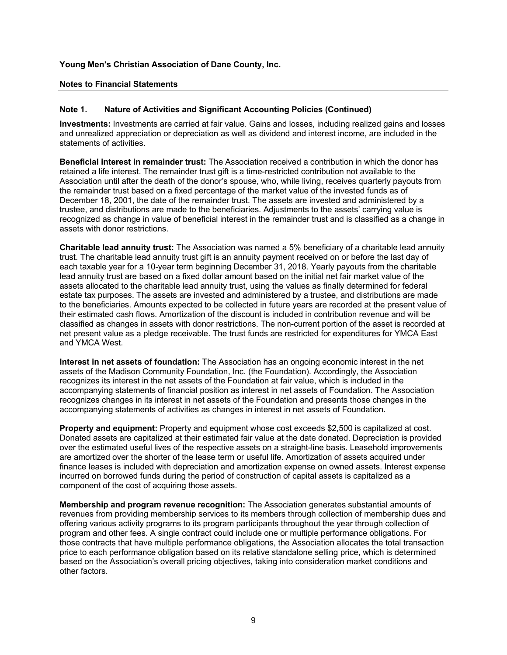### Notes to Financial Statements

#### Note 1. Nature of Activities and Significant Accounting Policies (Continued)

Investments: Investments are carried at fair value. Gains and losses, including realized gains and losses and unrealized appreciation or depreciation as well as dividend and interest income, are included in the statements of activities.

Beneficial interest in remainder trust: The Association received a contribution in which the donor has retained a life interest. The remainder trust gift is a time-restricted contribution not available to the Association until after the death of the donor's spouse, who, while living, receives quarterly payouts from the remainder trust based on a fixed percentage of the market value of the invested funds as of December 18, 2001, the date of the remainder trust. The assets are invested and administered by a trustee, and distributions are made to the beneficiaries. Adjustments to the assets' carrying value is recognized as change in value of beneficial interest in the remainder trust and is classified as a change in assets with donor restrictions.

Charitable lead annuity trust: The Association was named a 5% beneficiary of a charitable lead annuity trust. The charitable lead annuity trust gift is an annuity payment received on or before the last day of each taxable year for a 10-year term beginning December 31, 2018. Yearly payouts from the charitable lead annuity trust are based on a fixed dollar amount based on the initial net fair market value of the assets allocated to the charitable lead annuity trust, using the values as finally determined for federal estate tax purposes. The assets are invested and administered by a trustee, and distributions are made to the beneficiaries. Amounts expected to be collected in future years are recorded at the present value of their estimated cash flows. Amortization of the discount is included in contribution revenue and will be classified as changes in assets with donor restrictions. The non-current portion of the asset is recorded at net present value as a pledge receivable. The trust funds are restricted for expenditures for YMCA East and YMCA West.

Interest in net assets of foundation: The Association has an ongoing economic interest in the net assets of the Madison Community Foundation, Inc. (the Foundation). Accordingly, the Association recognizes its interest in the net assets of the Foundation at fair value, which is included in the accompanying statements of financial position as interest in net assets of Foundation. The Association recognizes changes in its interest in net assets of the Foundation and presents those changes in the accompanying statements of activities as changes in interest in net assets of Foundation.

Property and equipment: Property and equipment whose cost exceeds \$2,500 is capitalized at cost. Donated assets are capitalized at their estimated fair value at the date donated. Depreciation is provided over the estimated useful lives of the respective assets on a straight-line basis. Leasehold improvements are amortized over the shorter of the lease term or useful life. Amortization of assets acquired under finance leases is included with depreciation and amortization expense on owned assets. Interest expense incurred on borrowed funds during the period of construction of capital assets is capitalized as a component of the cost of acquiring those assets.

Membership and program revenue recognition: The Association generates substantial amounts of revenues from providing membership services to its members through collection of membership dues and offering various activity programs to its program participants throughout the year through collection of program and other fees. A single contract could include one or multiple performance obligations. For those contracts that have multiple performance obligations, the Association allocates the total transaction price to each performance obligation based on its relative standalone selling price, which is determined based on the Association's overall pricing objectives, taking into consideration market conditions and other factors.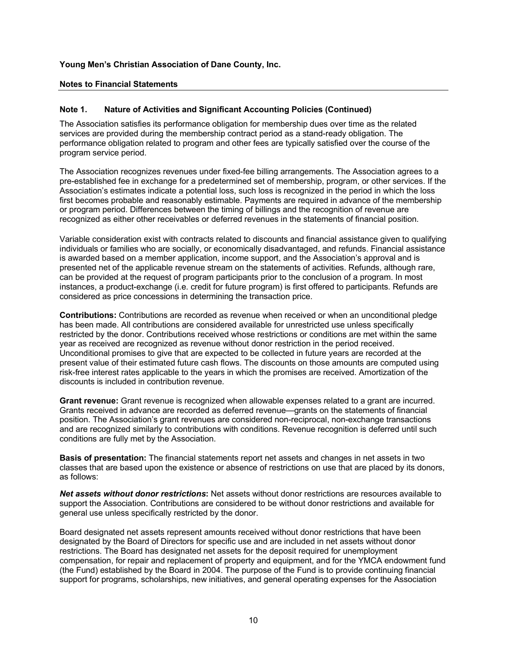### Notes to Financial Statements

#### Note 1. Nature of Activities and Significant Accounting Policies (Continued)

The Association satisfies its performance obligation for membership dues over time as the related services are provided during the membership contract period as a stand-ready obligation. The performance obligation related to program and other fees are typically satisfied over the course of the program service period.

The Association recognizes revenues under fixed-fee billing arrangements. The Association agrees to a pre-established fee in exchange for a predetermined set of membership, program, or other services. If the Association's estimates indicate a potential loss, such loss is recognized in the period in which the loss first becomes probable and reasonably estimable. Payments are required in advance of the membership or program period. Differences between the timing of billings and the recognition of revenue are recognized as either other receivables or deferred revenues in the statements of financial position.

Variable consideration exist with contracts related to discounts and financial assistance given to qualifying individuals or families who are socially, or economically disadvantaged, and refunds. Financial assistance is awarded based on a member application, income support, and the Association's approval and is presented net of the applicable revenue stream on the statements of activities. Refunds, although rare, can be provided at the request of program participants prior to the conclusion of a program. In most instances, a product-exchange (i.e. credit for future program) is first offered to participants. Refunds are considered as price concessions in determining the transaction price.

Contributions: Contributions are recorded as revenue when received or when an unconditional pledge has been made. All contributions are considered available for unrestricted use unless specifically restricted by the donor. Contributions received whose restrictions or conditions are met within the same year as received are recognized as revenue without donor restriction in the period received. Unconditional promises to give that are expected to be collected in future years are recorded at the present value of their estimated future cash flows. The discounts on those amounts are computed using risk-free interest rates applicable to the years in which the promises are received. Amortization of the discounts is included in contribution revenue.

Grant revenue: Grant revenue is recognized when allowable expenses related to a grant are incurred. Grants received in advance are recorded as deferred revenue—grants on the statements of financial position. The Association's grant revenues are considered non-reciprocal, non-exchange transactions and are recognized similarly to contributions with conditions. Revenue recognition is deferred until such conditions are fully met by the Association.

Basis of presentation: The financial statements report net assets and changes in net assets in two classes that are based upon the existence or absence of restrictions on use that are placed by its donors, as follows:

Net assets without donor restrictions: Net assets without donor restrictions are resources available to support the Association. Contributions are considered to be without donor restrictions and available for general use unless specifically restricted by the donor.

Board designated net assets represent amounts received without donor restrictions that have been designated by the Board of Directors for specific use and are included in net assets without donor restrictions. The Board has designated net assets for the deposit required for unemployment compensation, for repair and replacement of property and equipment, and for the YMCA endowment fund (the Fund) established by the Board in 2004. The purpose of the Fund is to provide continuing financial support for programs, scholarships, new initiatives, and general operating expenses for the Association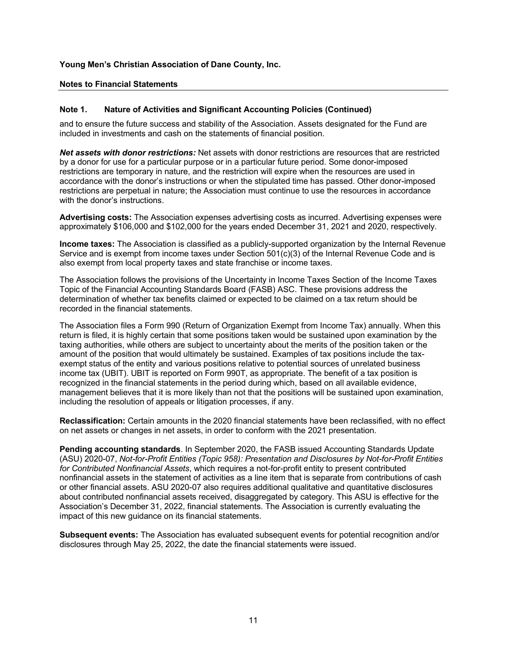### Notes to Financial Statements

#### Note 1. Nature of Activities and Significant Accounting Policies (Continued)

and to ensure the future success and stability of the Association. Assets designated for the Fund are included in investments and cash on the statements of financial position.

Net assets with donor restrictions: Net assets with donor restrictions are resources that are restricted by a donor for use for a particular purpose or in a particular future period. Some donor-imposed restrictions are temporary in nature, and the restriction will expire when the resources are used in accordance with the donor's instructions or when the stipulated time has passed. Other donor-imposed restrictions are perpetual in nature; the Association must continue to use the resources in accordance with the donor's instructions.

Advertising costs: The Association expenses advertising costs as incurred. Advertising expenses were approximately \$106,000 and \$102,000 for the years ended December 31, 2021 and 2020, respectively.

Income taxes: The Association is classified as a publicly-supported organization by the Internal Revenue Service and is exempt from income taxes under Section 501(c)(3) of the Internal Revenue Code and is also exempt from local property taxes and state franchise or income taxes.

The Association follows the provisions of the Uncertainty in Income Taxes Section of the Income Taxes Topic of the Financial Accounting Standards Board (FASB) ASC. These provisions address the determination of whether tax benefits claimed or expected to be claimed on a tax return should be recorded in the financial statements.

The Association files a Form 990 (Return of Organization Exempt from Income Tax) annually. When this return is filed, it is highly certain that some positions taken would be sustained upon examination by the taxing authorities, while others are subject to uncertainty about the merits of the position taken or the amount of the position that would ultimately be sustained. Examples of tax positions include the taxexempt status of the entity and various positions relative to potential sources of unrelated business income tax (UBIT). UBIT is reported on Form 990T, as appropriate. The benefit of a tax position is recognized in the financial statements in the period during which, based on all available evidence, management believes that it is more likely than not that the positions will be sustained upon examination, including the resolution of appeals or litigation processes, if any.

Reclassification: Certain amounts in the 2020 financial statements have been reclassified, with no effect on net assets or changes in net assets, in order to conform with the 2021 presentation.

Pending accounting standards. In September 2020, the FASB issued Accounting Standards Update (ASU) 2020-07, Not-for-Profit Entities (Topic 958): Presentation and Disclosures by Not-for-Profit Entities for Contributed Nonfinancial Assets, which requires a not-for-profit entity to present contributed nonfinancial assets in the statement of activities as a line item that is separate from contributions of cash or other financial assets. ASU 2020-07 also requires additional qualitative and quantitative disclosures about contributed nonfinancial assets received, disaggregated by category. This ASU is effective for the Association's December 31, 2022, financial statements. The Association is currently evaluating the impact of this new guidance on its financial statements.

**Subsequent events:** The Association has evaluated subsequent events for potential recognition and/or disclosures through May 25, 2022, the date the financial statements were issued.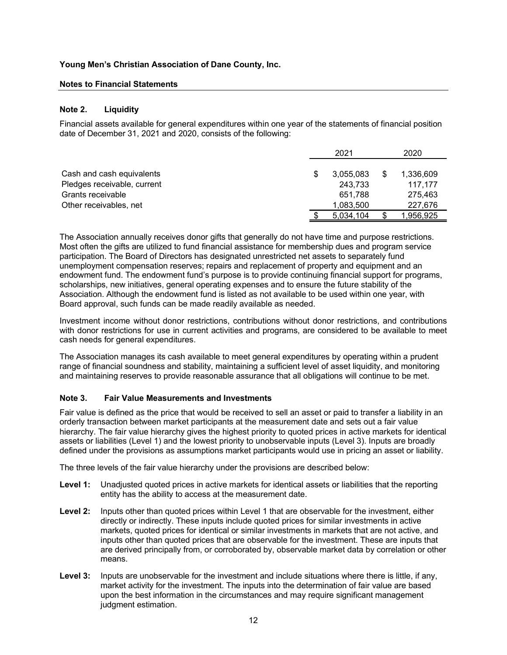### Notes to Financial Statements

#### Note 2. Liquidity

| Young Men's Christian Association of Dane County, Inc.                                                                                                                        |                 |                 |
|-------------------------------------------------------------------------------------------------------------------------------------------------------------------------------|-----------------|-----------------|
| <b>Notes to Financial Statements</b>                                                                                                                                          |                 |                 |
|                                                                                                                                                                               |                 |                 |
| Note 2.<br><b>Liquidity</b>                                                                                                                                                   |                 |                 |
| Financial assets available for general expenditures within one year of the statements of financial position<br>date of December 31, 2021 and 2020, consists of the following: |                 |                 |
|                                                                                                                                                                               | 2021            | 2020            |
| Cash and cash equivalents                                                                                                                                                     | \$<br>3,055,083 | \$<br>1,336,609 |
| Pledges receivable, current                                                                                                                                                   | 243,733         | 117,177         |
| Grants receivable                                                                                                                                                             | 651,788         | 275,463         |
| Other receivables, net                                                                                                                                                        | 1,083,500       | 227,676         |
|                                                                                                                                                                               | \$<br>5,034,104 | \$<br>1,956,925 |

The Association annually receives donor gifts that generally do not have time and purpose restrictions. Most often the gifts are utilized to fund financial assistance for membership dues and program service participation. The Board of Directors has designated unrestricted net assets to separately fund unemployment compensation reserves; repairs and replacement of property and equipment and an endowment fund. The endowment fund's purpose is to provide continuing financial support for programs, scholarships, new initiatives, general operating expenses and to ensure the future stability of the Association. Although the endowment fund is listed as not available to be used within one year, with Board approval, such funds can be made readily available as needed.

Investment income without donor restrictions, contributions without donor restrictions, and contributions with donor restrictions for use in current activities and programs, are considered to be available to meet cash needs for general expenditures.

The Association manages its cash available to meet general expenditures by operating within a prudent range of financial soundness and stability, maintaining a sufficient level of asset liquidity, and monitoring and maintaining reserves to provide reasonable assurance that all obligations will continue to be met.

## Note 3. Fair Value Measurements and Investments

Fair value is defined as the price that would be received to sell an asset or paid to transfer a liability in an orderly transaction between market participants at the measurement date and sets out a fair value hierarchy. The fair value hierarchy gives the highest priority to quoted prices in active markets for identical assets or liabilities (Level 1) and the lowest priority to unobservable inputs (Level 3). Inputs are broadly defined under the provisions as assumptions market participants would use in pricing an asset or liability.

The three levels of the fair value hierarchy under the provisions are described below:

- Level 1: Unadjusted quoted prices in active markets for identical assets or liabilities that the reporting entity has the ability to access at the measurement date.
- Level 2: Inputs other than quoted prices within Level 1 that are observable for the investment, either directly or indirectly. These inputs include quoted prices for similar investments in active markets, quoted prices for identical or similar investments in markets that are not active, and inputs other than quoted prices that are observable for the investment. These are inputs that are derived principally from, or corroborated by, observable market data by correlation or other means.
- Level 3: Inputs are unobservable for the investment and include situations where there is little, if any, market activity for the investment. The inputs into the determination of fair value are based upon the best information in the circumstances and may require significant management judgment estimation.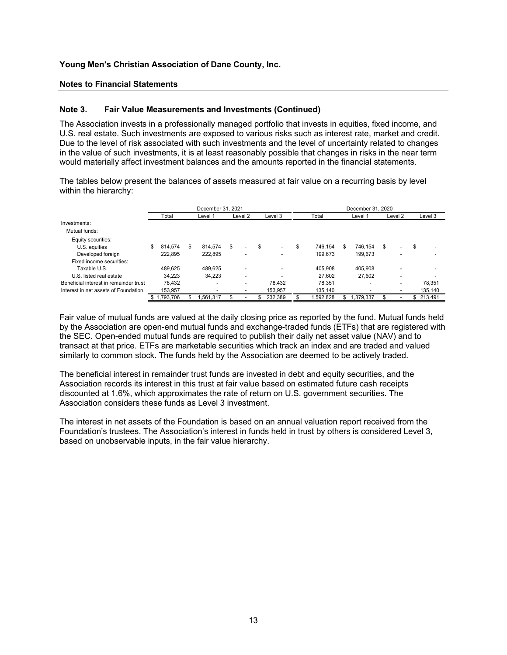#### Notes to Financial Statements

#### Note 3. Fair Value Measurements and Investments (Continued)

| Young Men's Christian Association of Dane County, Inc.                                                                                                                                                                             |                    |                              |         |                   |                    |                              |         |                   |
|------------------------------------------------------------------------------------------------------------------------------------------------------------------------------------------------------------------------------------|--------------------|------------------------------|---------|-------------------|--------------------|------------------------------|---------|-------------------|
| <b>Notes to Financial Statements</b>                                                                                                                                                                                               |                    |                              |         |                   |                    |                              |         |                   |
| Note 3.<br><b>Fair Value Measurements and Investments (Continued)</b>                                                                                                                                                              |                    |                              |         |                   |                    |                              |         |                   |
| in the value of such investments, it is at least reasonably possible that changes in risks in the near term                                                                                                                        |                    |                              |         |                   |                    |                              |         |                   |
| would materially affect investment balances and the amounts reported in the financial statements.<br>The tables below present the balances of assets measured at fair value on a recurring basis by level<br>within the hierarchy: |                    |                              |         |                   |                    |                              |         |                   |
|                                                                                                                                                                                                                                    | Total              | December 31, 2021<br>Level 1 | Level 2 | Level 3           | Total              | December 31, 2020<br>Level 1 | Level 2 | Level 3           |
| Investments:<br>Mutual funds:<br>Equity securities:                                                                                                                                                                                |                    |                              |         |                   |                    |                              |         |                   |
| U.S. equities<br>Developed foreign<br>Fixed income securities:                                                                                                                                                                     | 814,574<br>222,895 | 814,574<br>- \$<br>222,895   |         |                   | 746,154<br>199,673 | 746,154<br>- \$<br>199,673   |         |                   |
| Taxable U.S.                                                                                                                                                                                                                       | 489,625            | 489,625                      |         |                   | 405,908            | 405,908                      |         |                   |
| U.S. listed real estate                                                                                                                                                                                                            | 34,223             | 34,223                       |         |                   | 27,602             | 27,602                       |         |                   |
| Beneficial interest in remainder trust<br>Interest in net assets of Foundation                                                                                                                                                     | 78,432<br>153,957  |                              |         | 78,432<br>153,957 | 78,351<br>135,140  |                              |         | 78,351<br>135,140 |

Fair value of mutual funds are valued at the daily closing price as reported by the fund. Mutual funds held by the Association are open-end mutual funds and exchange-traded funds (ETFs) that are registered with the SEC. Open-ended mutual funds are required to publish their daily net asset value (NAV) and to transact at that price. ETFs are marketable securities which track an index and are traded and valued similarly to common stock. The funds held by the Association are deemed to be actively traded.

The beneficial interest in remainder trust funds are invested in debt and equity securities, and the Association records its interest in this trust at fair value based on estimated future cash receipts discounted at 1.6%, which approximates the rate of return on U.S. government securities. The Association considers these funds as Level 3 investment.

The interest in net assets of the Foundation is based on an annual valuation report received from the Foundation's trustees. The Association's interest in funds held in trust by others is considered Level 3, based on unobservable inputs, in the fair value hierarchy.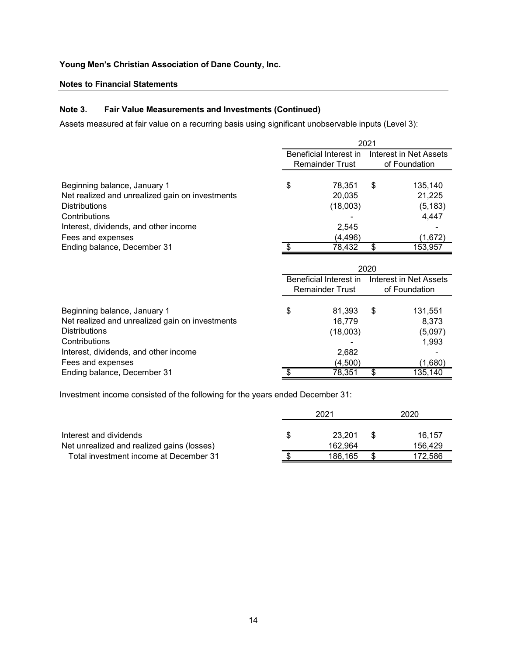### Notes to Financial Statements

### Note 3. Fair Value Measurements and Investments (Continued)

| Young Men's Christian Association of Dane County, Inc.                                                  |                                                  |      |                                                |
|---------------------------------------------------------------------------------------------------------|--------------------------------------------------|------|------------------------------------------------|
| <b>Notes to Financial Statements</b>                                                                    |                                                  |      |                                                |
| Note 3.<br><b>Fair Value Measurements and Investments (Continued)</b>                                   |                                                  |      |                                                |
| Assets measured at fair value on a recurring basis using significant unobservable inputs (Level 3):     |                                                  |      |                                                |
|                                                                                                         |                                                  | 2021 |                                                |
|                                                                                                         | Beneficial Interest in<br><b>Remainder Trust</b> |      | <b>Interest in Net Assets</b><br>of Foundation |
| Beginning balance, January 1<br>Net realized and unrealized gain on investments<br><b>Distributions</b> | \$<br>78,351<br>20,035<br>(18,003)               | \$   | 135,140<br>21,225<br>(5, 183)                  |
| Contributions<br>Interest, dividends, and other income<br>Fees and expenses                             | 2,545<br>(4, 496)                                |      | 4,447<br>(1,672)                               |
| Ending balance, December 31                                                                             | 78,432                                           | \$   | 153,957                                        |
|                                                                                                         |                                                  | 2020 |                                                |
|                                                                                                         | Beneficial Interest in<br><b>Remainder Trust</b> |      | Interest in Net Assets<br>of Foundation        |
| Beginning balance, January 1<br>Net realized and unrealized gain on investments<br><b>Distributions</b> | \$<br>81,393<br>16,779<br>(18,003)               | \$   | 131,551<br>8,373<br>(5,097)<br>1,993           |
| Contributions                                                                                           |                                                  |      |                                                |

| <b>Distributions</b>                                                          | (18,003)               |      | (5, 183)                      |
|-------------------------------------------------------------------------------|------------------------|------|-------------------------------|
| Contributions                                                                 |                        |      | 4,447                         |
| Interest, dividends, and other income                                         | 2,545                  |      |                               |
| Fees and expenses                                                             | (4, 496)               |      | (1,672)                       |
| Ending balance, December 31                                                   | 78,432                 | \$   | 153,957                       |
|                                                                               |                        |      |                               |
|                                                                               |                        | 2020 |                               |
|                                                                               | Beneficial Interest in |      | <b>Interest in Net Assets</b> |
|                                                                               | <b>Remainder Trust</b> |      | of Foundation                 |
|                                                                               |                        |      |                               |
| Beginning balance, January 1                                                  | \$<br>81,393           | \$   | 131,551                       |
| Net realized and unrealized gain on investments                               | 16,779                 |      | 8,373                         |
| <b>Distributions</b>                                                          | (18,003)               |      | (5,097)                       |
| Contributions                                                                 |                        |      | 1,993                         |
| Interest, dividends, and other income                                         | 2,682                  |      |                               |
| Fees and expenses                                                             | (4,500)                |      | (1,680)                       |
| Ending balance, December 31                                                   | 78,351                 | \$   | 135,140                       |
|                                                                               |                        |      |                               |
| Investment income consisted of the following for the years ended December 31: |                        |      |                               |
|                                                                               | 2021                   |      | 2020                          |
|                                                                               |                        |      |                               |
| Interest and dividends                                                        | \$<br>23,201           | \$   | 16,157                        |
| Net unrealized and realized gains (losses)                                    | 162,964                |      | 156,429                       |
| Total investment income at December 31                                        | \$<br>186,165          | \$   | 172,586                       |
|                                                                               |                        |      |                               |
|                                                                               |                        |      |                               |
|                                                                               |                        |      |                               |
|                                                                               |                        |      |                               |
|                                                                               |                        |      |                               |

|                                            | 2021    | 2020    |
|--------------------------------------------|---------|---------|
| Interest and dividends                     | 23.201  | 16.157  |
| Net unrealized and realized gains (losses) | 162.964 | 156.429 |
| Total investment income at December 31     | 186.165 | 172.586 |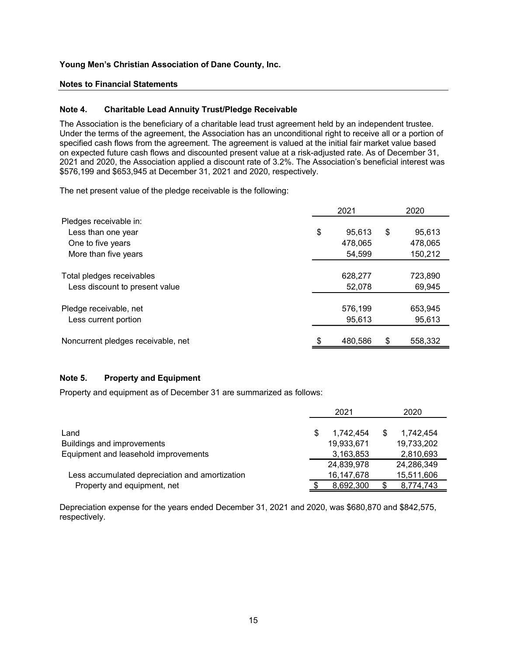### Notes to Financial Statements

#### Note 4. Charitable Lead Annuity Trust/Pledge Receivable

| <b>Notes to Financial Statements</b><br>Note 4.<br><b>Charitable Lead Annuity Trust/Pledge Receivable</b><br>The Association is the beneficiary of a charitable lead trust agreement held by an independent trustee.<br>Under the terms of the agreement, the Association has an unconditional right to receive all or a portion of<br>specified cash flows from the agreement. The agreement is valued at the initial fair market value based<br>on expected future cash flows and discounted present value at a risk-adjusted rate. As of December 31,<br>2021 and 2020, the Association applied a discount rate of 3.2%. The Association's beneficial interest was<br>\$576,199 and \$653,945 at December 31, 2021 and 2020, respectively.<br>The net present value of the pledge receivable is the following:<br>2021<br>2020<br>Pledges receivable in: |
|-------------------------------------------------------------------------------------------------------------------------------------------------------------------------------------------------------------------------------------------------------------------------------------------------------------------------------------------------------------------------------------------------------------------------------------------------------------------------------------------------------------------------------------------------------------------------------------------------------------------------------------------------------------------------------------------------------------------------------------------------------------------------------------------------------------------------------------------------------------|
|                                                                                                                                                                                                                                                                                                                                                                                                                                                                                                                                                                                                                                                                                                                                                                                                                                                             |
|                                                                                                                                                                                                                                                                                                                                                                                                                                                                                                                                                                                                                                                                                                                                                                                                                                                             |
|                                                                                                                                                                                                                                                                                                                                                                                                                                                                                                                                                                                                                                                                                                                                                                                                                                                             |
|                                                                                                                                                                                                                                                                                                                                                                                                                                                                                                                                                                                                                                                                                                                                                                                                                                                             |
|                                                                                                                                                                                                                                                                                                                                                                                                                                                                                                                                                                                                                                                                                                                                                                                                                                                             |
| \$<br>95,613<br>Less than one year<br>\$<br>95,613                                                                                                                                                                                                                                                                                                                                                                                                                                                                                                                                                                                                                                                                                                                                                                                                          |
| 478,065<br>One to five years<br>478,065                                                                                                                                                                                                                                                                                                                                                                                                                                                                                                                                                                                                                                                                                                                                                                                                                     |
| More than five years<br>54,599<br>150,212                                                                                                                                                                                                                                                                                                                                                                                                                                                                                                                                                                                                                                                                                                                                                                                                                   |
| Total pledges receivables<br>628,277<br>723,890                                                                                                                                                                                                                                                                                                                                                                                                                                                                                                                                                                                                                                                                                                                                                                                                             |
| 52,078<br>Less discount to present value<br>69,945                                                                                                                                                                                                                                                                                                                                                                                                                                                                                                                                                                                                                                                                                                                                                                                                          |
| Pledge receivable, net<br>576,199<br>653,945                                                                                                                                                                                                                                                                                                                                                                                                                                                                                                                                                                                                                                                                                                                                                                                                                |
| 95,613<br>95,613<br>Less current portion                                                                                                                                                                                                                                                                                                                                                                                                                                                                                                                                                                                                                                                                                                                                                                                                                    |
| Noncurrent pledges receivable, net<br>480,586<br>558,332<br>S.                                                                                                                                                                                                                                                                                                                                                                                                                                                                                                                                                                                                                                                                                                                                                                                              |
| Note 5.<br><b>Property and Equipment</b>                                                                                                                                                                                                                                                                                                                                                                                                                                                                                                                                                                                                                                                                                                                                                                                                                    |
| Property and equipment as of December 31 are summarized as follows:                                                                                                                                                                                                                                                                                                                                                                                                                                                                                                                                                                                                                                                                                                                                                                                         |
| 2021<br>2020                                                                                                                                                                                                                                                                                                                                                                                                                                                                                                                                                                                                                                                                                                                                                                                                                                                |
| 1,742,454<br>\$<br>1,742,454<br>Land                                                                                                                                                                                                                                                                                                                                                                                                                                                                                                                                                                                                                                                                                                                                                                                                                        |
| Buildings and improvements<br>19,933,671<br>19,733,202                                                                                                                                                                                                                                                                                                                                                                                                                                                                                                                                                                                                                                                                                                                                                                                                      |
| Equipment and leasehold improvements<br>2,810,693<br>3,163,853                                                                                                                                                                                                                                                                                                                                                                                                                                                                                                                                                                                                                                                                                                                                                                                              |
| 24,839,978<br>24,286,349                                                                                                                                                                                                                                                                                                                                                                                                                                                                                                                                                                                                                                                                                                                                                                                                                                    |
| Less accumulated depreciation and amortization<br>16, 147, 678<br>15,511,606<br>8,692,300<br>Property and equipment, net<br>8,774,743                                                                                                                                                                                                                                                                                                                                                                                                                                                                                                                                                                                                                                                                                                                       |

# Note 5. Property and Equipment

|                                                | 2021       |   | 2020       |
|------------------------------------------------|------------|---|------------|
| Land                                           | 1.742.454  | S | 1.742.454  |
| Buildings and improvements                     | 19,933,671 |   | 19,733,202 |
| Equipment and leasehold improvements           | 3,163,853  |   | 2,810,693  |
|                                                | 24,839,978 |   | 24,286,349 |
| Less accumulated depreciation and amortization | 16,147,678 |   | 15,511,606 |
| Property and equipment, net                    | 8,692,300  |   | 8,774,743  |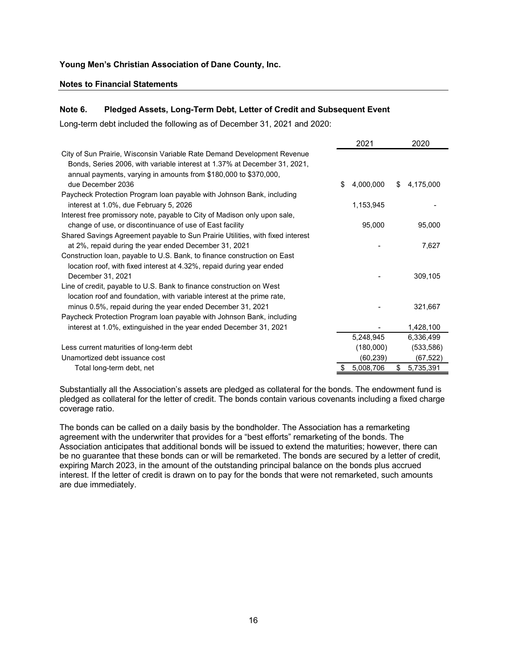#### Notes to Financial Statements

### Note 6. Pledged Assets, Long-Term Debt, Letter of Credit and Subsequent Event

| Young Men's Christian Association of Dane County, Inc.                                                                                  |                        |                         |  |  |  |  |  |
|-----------------------------------------------------------------------------------------------------------------------------------------|------------------------|-------------------------|--|--|--|--|--|
| <b>Notes to Financial Statements</b>                                                                                                    |                        |                         |  |  |  |  |  |
|                                                                                                                                         |                        |                         |  |  |  |  |  |
| Note 6.<br>Pledged Assets, Long-Term Debt, Letter of Credit and Subsequent Event                                                        |                        |                         |  |  |  |  |  |
|                                                                                                                                         |                        |                         |  |  |  |  |  |
| Long-term debt included the following as of December 31, 2021 and 2020:                                                                 |                        |                         |  |  |  |  |  |
|                                                                                                                                         | 2021                   | 2020                    |  |  |  |  |  |
| City of Sun Prairie, Wisconsin Variable Rate Demand Development Revenue                                                                 |                        |                         |  |  |  |  |  |
| Bonds, Series 2006, with variable interest at 1.37% at December 31, 2021,                                                               |                        |                         |  |  |  |  |  |
| annual payments, varying in amounts from \$180,000 to \$370,000,                                                                        |                        |                         |  |  |  |  |  |
| due December 2036                                                                                                                       | 4,000,000<br>\$        | 4,175,000<br>\$.        |  |  |  |  |  |
| Paycheck Protection Program loan payable with Johnson Bank, including                                                                   |                        |                         |  |  |  |  |  |
| interest at 1.0%, due February 5, 2026                                                                                                  | 1,153,945              |                         |  |  |  |  |  |
| Interest free promissory note, payable to City of Madison only upon sale,                                                               |                        |                         |  |  |  |  |  |
| change of use, or discontinuance of use of East facility                                                                                | 95,000                 | 95,000                  |  |  |  |  |  |
| Shared Savings Agreement payable to Sun Prairie Utilities, with fixed interest<br>at 2%, repaid during the year ended December 31, 2021 |                        | 7,627                   |  |  |  |  |  |
| Construction loan, payable to U.S. Bank, to finance construction on East                                                                |                        |                         |  |  |  |  |  |
| location roof, with fixed interest at 4.32%, repaid during year ended                                                                   |                        |                         |  |  |  |  |  |
| December 31, 2021                                                                                                                       |                        | 309,105                 |  |  |  |  |  |
| Line of credit, payable to U.S. Bank to finance construction on West                                                                    |                        |                         |  |  |  |  |  |
| location roof and foundation, with variable interest at the prime rate.                                                                 |                        |                         |  |  |  |  |  |
| minus 0.5%, repaid during the year ended December 31, 2021                                                                              |                        | 321,667                 |  |  |  |  |  |
| Paycheck Protection Program loan payable with Johnson Bank, including                                                                   |                        |                         |  |  |  |  |  |
| interest at 1.0%, extinguished in the year ended December 31, 2021                                                                      |                        | 1,428,100               |  |  |  |  |  |
|                                                                                                                                         | 5,248,945              | 6,336,499               |  |  |  |  |  |
| Less current maturities of long-term debt<br>Unamortized debt issuance cost                                                             | (180,000)<br>(60, 239) | (533, 586)<br>(67, 522) |  |  |  |  |  |
| Total long-term debt, net                                                                                                               | 5,008,706              | 5,735,391<br>\$         |  |  |  |  |  |
|                                                                                                                                         |                        |                         |  |  |  |  |  |

The bonds can be called on a daily basis by the bondholder. The Association has a remarketing agreement with the underwriter that provides for a "best efforts" remarketing of the bonds. The Association anticipates that additional bonds will be issued to extend the maturities; however, there can be no guarantee that these bonds can or will be remarketed. The bonds are secured by a letter of credit, expiring March 2023, in the amount of the outstanding principal balance on the bonds plus accrued interest. If the letter of credit is drawn on to pay for the bonds that were not remarketed, such amounts are due immediately.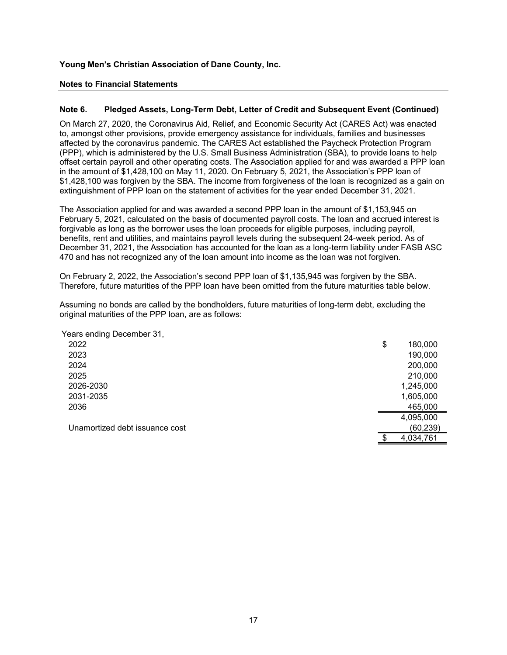### Notes to Financial Statements

#### Note 6. Pledged Assets, Long-Term Debt, Letter of Credit and Subsequent Event (Continued)

On March 27, 2020, the Coronavirus Aid, Relief, and Economic Security Act (CARES Act) was enacted to, amongst other provisions, provide emergency assistance for individuals, families and businesses affected by the coronavirus pandemic. The CARES Act established the Paycheck Protection Program (PPP), which is administered by the U.S. Small Business Administration (SBA), to provide loans to help offset certain payroll and other operating costs. The Association applied for and was awarded a PPP loan in the amount of \$1,428,100 on May 11, 2020. On February 5, 2021, the Association's PPP loan of \$1,428,100 was forgiven by the SBA. The income from forgiveness of the loan is recognized as a gain on extinguishment of PPP loan on the statement of activities for the year ended December 31, 2021. amongst other provisions, provide emergency assistance for individuals, families and businesses<br>ecled by the coronavirus pandemic. The CARES Act established the Paycheck Protection Program<br>PP). which is administered by the

| affected by the coronavirus pandemic. The CARES Act established the Paycheck Protection Program<br>PPP), which is administered by the U.S. Small Business Administration (SBA), to provide loans to help<br>offset certain payroll and other operating costs. The Association applied for and was awarded a PPP loan<br>n the amount of \$1,428,100 on May 11, 2020. On February 5, 2021, the Association's PPP loan of<br>$$1,428,100$ was forgiven by the SBA. The income from forgiveness of the loan is recognized as a gain on<br>extinguishment of PPP loan on the statement of activities for the year ended December 31, 2021. |                |           |  |
|----------------------------------------------------------------------------------------------------------------------------------------------------------------------------------------------------------------------------------------------------------------------------------------------------------------------------------------------------------------------------------------------------------------------------------------------------------------------------------------------------------------------------------------------------------------------------------------------------------------------------------------|----------------|-----------|--|
| The Association applied for and was awarded a second PPP loan in the amount of $$1,153,945$ on<br>February 5, 2021, calculated on the basis of documented payroll costs. The loan and accrued interest is<br>orgivable as long as the borrower uses the loan proceeds for eligible purposes, including payroll,<br>benefits, rent and utilities, and maintains payroll levels during the subsequent 24-week period. As of<br>December 31, 2021, the Association has accounted for the loan as a long-term liability under FASB ASC<br>170 and has not recognized any of the loan amount into income as the loan was not forgiven.      |                |           |  |
| On February 2, 2022, the Association's second PPP loan of \$1,135,945 was forgiven by the SBA.<br>Therefore, future maturities of the PPP loan have been omitted from the future maturities table below.                                                                                                                                                                                                                                                                                                                                                                                                                               |                |           |  |
| Assuming no bonds are called by the bondholders, future maturities of long-term debt, excluding the<br>priginal maturities of the PPP loan, are as follows:                                                                                                                                                                                                                                                                                                                                                                                                                                                                            |                |           |  |
| Years ending December 31,                                                                                                                                                                                                                                                                                                                                                                                                                                                                                                                                                                                                              |                |           |  |
| 2022                                                                                                                                                                                                                                                                                                                                                                                                                                                                                                                                                                                                                                   | $\mathfrak{S}$ | 180,000   |  |
| 2023                                                                                                                                                                                                                                                                                                                                                                                                                                                                                                                                                                                                                                   |                | 190,000   |  |
| 2024                                                                                                                                                                                                                                                                                                                                                                                                                                                                                                                                                                                                                                   |                | 200,000   |  |
| 2025                                                                                                                                                                                                                                                                                                                                                                                                                                                                                                                                                                                                                                   |                | 210,000   |  |
| 2026-2030                                                                                                                                                                                                                                                                                                                                                                                                                                                                                                                                                                                                                              |                | 1,245,000 |  |
| 2031-2035                                                                                                                                                                                                                                                                                                                                                                                                                                                                                                                                                                                                                              |                | 1,605,000 |  |
| 2036                                                                                                                                                                                                                                                                                                                                                                                                                                                                                                                                                                                                                                   |                | 465,000   |  |
|                                                                                                                                                                                                                                                                                                                                                                                                                                                                                                                                                                                                                                        |                | 4,095,000 |  |
| Unamortized debt issuance cost                                                                                                                                                                                                                                                                                                                                                                                                                                                                                                                                                                                                         |                | (60, 239) |  |
|                                                                                                                                                                                                                                                                                                                                                                                                                                                                                                                                                                                                                                        |                | 4,034,761 |  |
|                                                                                                                                                                                                                                                                                                                                                                                                                                                                                                                                                                                                                                        |                |           |  |
|                                                                                                                                                                                                                                                                                                                                                                                                                                                                                                                                                                                                                                        |                |           |  |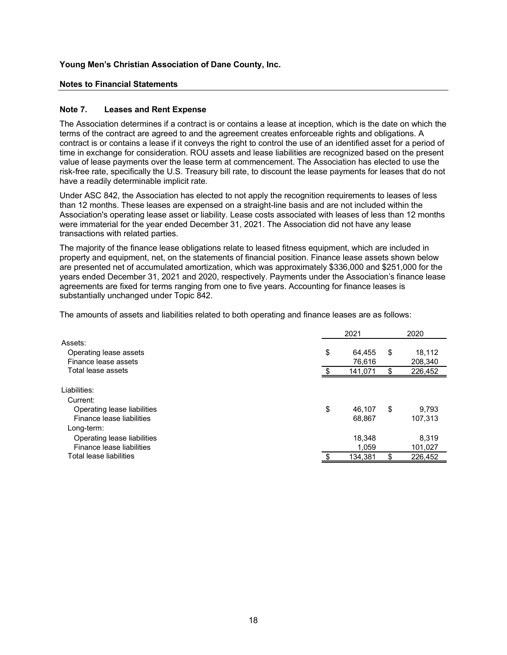### Notes to Financial Statements

#### Note 7. Leases and Rent Expense

The Association determines if a contract is or contains a lease at inception, which is the date on which the terms of the contract are agreed to and the agreement creates enforceable rights and obligations. A contract is or contains a lease if it conveys the right to control the use of an identified asset for a period of time in exchange for consideration. ROU assets and lease liabilities are recognized based on the present value of lease payments over the lease term at commencement. The Association has elected to use the risk-free rate, specifically the U.S. Treasury bill rate, to discount the lease payments for leases that do not have a readily determinable implicit rate. nich is the date on which the<br>hts and obligations. A<br>tentified asset for a period of<br>nized based on the present<br>tion has elected to use the<br>ments for leases that do not<br>rements to leases of less<br>ot included within the<br>sess

| contract is or contains a lease if it conveys the right to control the use of an identified asset for a period of<br>time in exchange for consideration. ROU assets and lease liabilities are recognized based on the present<br>value of lease payments over the lease term at commencement. The Association has elected to use the<br>risk-free rate, specifically the U.S. Treasury bill rate, to discount the lease payments for leases that do not<br>have a readily determinable implicit rate.                                                                              |               |                  |                          |  |
|------------------------------------------------------------------------------------------------------------------------------------------------------------------------------------------------------------------------------------------------------------------------------------------------------------------------------------------------------------------------------------------------------------------------------------------------------------------------------------------------------------------------------------------------------------------------------------|---------------|------------------|--------------------------|--|
| Under ASC 842, the Association has elected to not apply the recognition requirements to leases of less<br>than 12 months. These leases are expensed on a straight-line basis and are not included within the<br>Association's operating lease asset or liability. Lease costs associated with leases of less than 12 months<br>were immaterial for the year ended December 31, 2021. The Association did not have any lease<br>transactions with related parties.                                                                                                                  |               |                  |                          |  |
| The majority of the finance lease obligations relate to leased fitness equipment, which are included in<br>property and equipment, net, on the statements of financial position. Finance lease assets shown below<br>are presented net of accumulated amortization, which was approximately \$336,000 and \$251,000 for the<br>years ended December 31, 2021 and 2020, respectively. Payments under the Association's finance lease<br>agreements are fixed for terms ranging from one to five years. Accounting for finance leases is<br>substantially unchanged under Topic 842. |               |                  |                          |  |
|                                                                                                                                                                                                                                                                                                                                                                                                                                                                                                                                                                                    |               |                  |                          |  |
|                                                                                                                                                                                                                                                                                                                                                                                                                                                                                                                                                                                    |               |                  |                          |  |
|                                                                                                                                                                                                                                                                                                                                                                                                                                                                                                                                                                                    |               | 2021             | 2020                     |  |
| Assets:                                                                                                                                                                                                                                                                                                                                                                                                                                                                                                                                                                            |               |                  |                          |  |
| Operating lease assets                                                                                                                                                                                                                                                                                                                                                                                                                                                                                                                                                             | \$            | 64,455           | \$<br>18,112             |  |
| Finance lease assets<br>Total lease assets                                                                                                                                                                                                                                                                                                                                                                                                                                                                                                                                         |               | 76,616           | \$<br>208,340            |  |
| The amounts of assets and liabilities related to both operating and finance leases are as follows:<br>Liabilities:                                                                                                                                                                                                                                                                                                                                                                                                                                                                 | $\frac{1}{2}$ | 141,071          | 226,452                  |  |
| Current:                                                                                                                                                                                                                                                                                                                                                                                                                                                                                                                                                                           |               |                  |                          |  |
| Operating lease liabilities                                                                                                                                                                                                                                                                                                                                                                                                                                                                                                                                                        | \$            | 46,107           | \$<br>9,793              |  |
| Finance lease liabilities                                                                                                                                                                                                                                                                                                                                                                                                                                                                                                                                                          |               | 68,867           | 107,313                  |  |
| Long-term:                                                                                                                                                                                                                                                                                                                                                                                                                                                                                                                                                                         |               |                  |                          |  |
| Operating lease liabilities                                                                                                                                                                                                                                                                                                                                                                                                                                                                                                                                                        |               | 18,348           | 8,319                    |  |
| Finance lease liabilities<br>Total lease liabilities                                                                                                                                                                                                                                                                                                                                                                                                                                                                                                                               | \$            | 1,059<br>134,381 | \$<br>101,027<br>226,452 |  |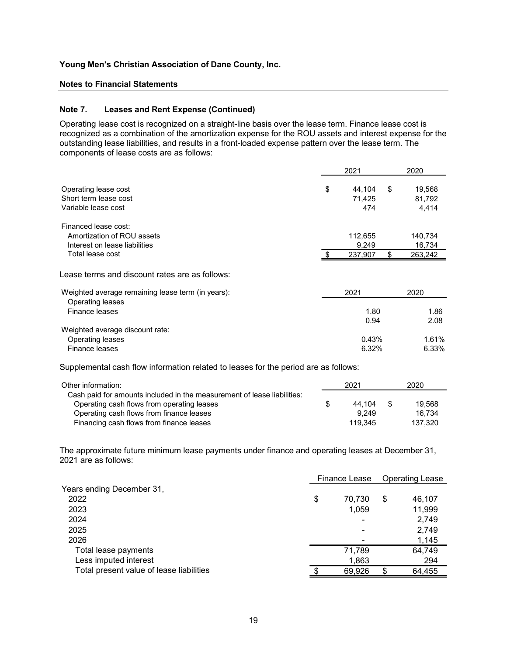#### Notes to Financial Statements

### Note 7. Leases and Rent Expense (Continued)

| Young Men's Christian Association of Dane County, Inc.                                                                                                                                                                                                                                                                                                                                                                           |    |                            |     |                             |  |  |  |  |  |
|----------------------------------------------------------------------------------------------------------------------------------------------------------------------------------------------------------------------------------------------------------------------------------------------------------------------------------------------------------------------------------------------------------------------------------|----|----------------------------|-----|-----------------------------|--|--|--|--|--|
| <b>Notes to Financial Statements</b>                                                                                                                                                                                                                                                                                                                                                                                             |    |                            |     |                             |  |  |  |  |  |
|                                                                                                                                                                                                                                                                                                                                                                                                                                  |    |                            |     |                             |  |  |  |  |  |
| Note 7.<br><b>Leases and Rent Expense (Continued)</b><br>Operating lease cost is recognized on a straight-line basis over the lease term. Finance lease cost is<br>recognized as a combination of the amortization expense for the ROU assets and interest expense for the<br>outstanding lease liabilities, and results in a front-loaded expense pattern over the lease term. The<br>components of lease costs are as follows: |    |                            |     |                             |  |  |  |  |  |
|                                                                                                                                                                                                                                                                                                                                                                                                                                  |    | 2021                       |     | 2020                        |  |  |  |  |  |
| Operating lease cost<br>Short term lease cost<br>Variable lease cost                                                                                                                                                                                                                                                                                                                                                             | \$ | 44,104<br>71,425<br>474    | \$  | 19,568<br>81,792<br>4,414   |  |  |  |  |  |
| Financed lease cost:<br>Amortization of ROU assets<br>Interest on lease liabilities                                                                                                                                                                                                                                                                                                                                              |    | 112,655<br>9,249           |     | 140,734<br>16,734           |  |  |  |  |  |
| Total lease cost                                                                                                                                                                                                                                                                                                                                                                                                                 |    | 237,907                    | S   | 263,242                     |  |  |  |  |  |
| Lease terms and discount rates are as follows:                                                                                                                                                                                                                                                                                                                                                                                   |    |                            |     |                             |  |  |  |  |  |
| Weighted average remaining lease term (in years):<br>Operating leases                                                                                                                                                                                                                                                                                                                                                            |    | 2021                       |     | 2020                        |  |  |  |  |  |
| Finance leases<br>Weighted average discount rate:                                                                                                                                                                                                                                                                                                                                                                                |    | 1.80<br>0.94               |     | 1.86<br>2.08                |  |  |  |  |  |
| Operating leases<br>Finance leases                                                                                                                                                                                                                                                                                                                                                                                               |    | 0.43%<br>6.32%             |     | 1.61%<br>6.33%              |  |  |  |  |  |
| Supplemental cash flow information related to leases for the period are as follows:                                                                                                                                                                                                                                                                                                                                              |    |                            |     |                             |  |  |  |  |  |
| Other information:<br>Cash paid for amounts included in the measurement of lease liabilities:                                                                                                                                                                                                                                                                                                                                    |    | 2021                       |     | 2020                        |  |  |  |  |  |
| Operating cash flows from operating leases<br>Operating cash flows from finance leases<br>Financing cash flows from finance leases                                                                                                                                                                                                                                                                                               | \$ | 44,104<br>9,249<br>119,345 | -\$ | 19,568<br>16,734<br>137,320 |  |  |  |  |  |
| The approximate future minimum lease payments under finance and operating leases at December 31,<br>2021 are as follows:                                                                                                                                                                                                                                                                                                         |    |                            |     |                             |  |  |  |  |  |
|                                                                                                                                                                                                                                                                                                                                                                                                                                  |    | Finance Lease              |     | <b>Operating Lease</b>      |  |  |  |  |  |
| Years ending December 31,<br>2022<br>2023                                                                                                                                                                                                                                                                                                                                                                                        | \$ | 70,730<br>1,059            | \$  | 46,107<br>11,999            |  |  |  |  |  |
| 2024<br>2025                                                                                                                                                                                                                                                                                                                                                                                                                     |    |                            |     | 2,749<br>2.749              |  |  |  |  |  |

| Other information:                                                      |    | 2021    |      | 2020    |
|-------------------------------------------------------------------------|----|---------|------|---------|
| Cash paid for amounts included in the measurement of lease liabilities: |    |         |      |         |
| Operating cash flows from operating leases                              | S. | 44.104  | - \$ | 19.568  |
| Operating cash flows from finance leases                                |    | 9.249   |      | 16.734  |
| Financing cash flows from finance leases                                |    | 119.345 |      | 137.320 |

| Weighted average remaining lease term (in years):                                                                                            | 2021            | 2020                   |
|----------------------------------------------------------------------------------------------------------------------------------------------|-----------------|------------------------|
| Operating leases                                                                                                                             |                 |                        |
| Finance leases                                                                                                                               | 1.80            | 1.86                   |
|                                                                                                                                              | 0.94            | 2.08                   |
| Weighted average discount rate:                                                                                                              |                 |                        |
| <b>Operating leases</b>                                                                                                                      | 0.43%           | 1.61%                  |
| Finance leases                                                                                                                               | 6.32%           | 6.33%                  |
| Supplemental cash flow information related to leases for the period are as follows:                                                          |                 |                        |
| Other information:                                                                                                                           | 2021            | 2020                   |
| Cash paid for amounts included in the measurement of lease liabilities:                                                                      |                 |                        |
| Operating cash flows from operating leases                                                                                                   | \$<br>44,104    | \$<br>19,568           |
|                                                                                                                                              | 9,249           | 16,734                 |
| Operating cash flows from finance leases                                                                                                     |                 |                        |
| Financing cash flows from finance leases<br>The approximate future minimum lease payments under finance and operating leases at December 31, | 119,345         | 137,320                |
|                                                                                                                                              |                 |                        |
| 2021 are as follows:                                                                                                                         | Finance Lease   | <b>Operating Lease</b> |
| Years ending December 31,                                                                                                                    |                 |                        |
| 2022                                                                                                                                         | \$<br>70,730    | \$<br>46,107           |
| 2023                                                                                                                                         | 1,059           | 11,999                 |
| 2024                                                                                                                                         |                 | 2,749                  |
| 2025                                                                                                                                         |                 | 2,749                  |
| 2026                                                                                                                                         |                 | 1,145                  |
| Total lease payments                                                                                                                         | 71,789          | 64,749                 |
| Less imputed interest<br>Total present value of lease liabilities                                                                            | 1,863<br>69,926 | \$<br>294<br>64,455    |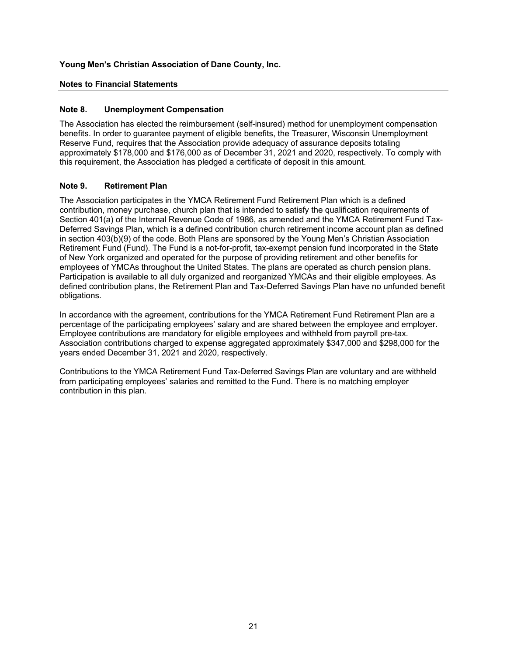## Notes to Financial Statements

### Note 8. Unemployment Compensation

The Association has elected the reimbursement (self-insured) method for unemployment compensation benefits. In order to guarantee payment of eligible benefits, the Treasurer, Wisconsin Unemployment Reserve Fund, requires that the Association provide adequacy of assurance deposits totaling approximately \$178,000 and \$176,000 as of December 31, 2021 and 2020, respectively. To comply with this requirement, the Association has pledged a certificate of deposit in this amount.

#### Note 9. Retirement Plan

The Association participates in the YMCA Retirement Fund Retirement Plan which is a defined contribution, money purchase, church plan that is intended to satisfy the qualification requirements of Section 401(a) of the Internal Revenue Code of 1986, as amended and the YMCA Retirement Fund Tax-Deferred Savings Plan, which is a defined contribution church retirement income account plan as defined in section  $403(b)(9)$  of the code. Both Plans are sponsored by the Young Men's Christian Association Retirement Fund (Fund). The Fund is a not-for-profit, tax-exempt pension fund incorporated in the State of New York organized and operated for the purpose of providing retirement and other benefits for employees of YMCAs throughout the United States. The plans are operated as church pension plans. Participation is available to all duly organized and reorganized YMCAs and their eligible employees. As defined contribution plans, the Retirement Plan and Tax-Deferred Savings Plan have no unfunded benefit obligations.

In accordance with the agreement, contributions for the YMCA Retirement Fund Retirement Plan are a percentage of the participating employees' salary and are shared between the employee and employer. Employee contributions are mandatory for eligible employees and withheld from payroll pre-tax. Association contributions charged to expense aggregated approximately \$347,000 and \$298,000 for the years ended December 31, 2021 and 2020, respectively.

Contributions to the YMCA Retirement Fund Tax-Deferred Savings Plan are voluntary and are withheld from participating employees' salaries and remitted to the Fund. There is no matching employer contribution in this plan.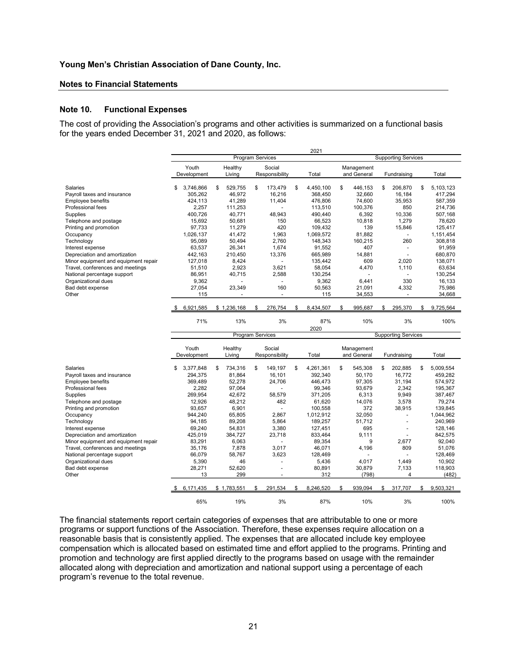#### Notes to Financial Statements

#### Note 10. Functional Expenses

| Young Men's Christian Association of Dane County, Inc.                                                                                                                  |                           |                         |                            |                            |                                   |                                    |                            |
|-------------------------------------------------------------------------------------------------------------------------------------------------------------------------|---------------------------|-------------------------|----------------------------|----------------------------|-----------------------------------|------------------------------------|----------------------------|
|                                                                                                                                                                         |                           |                         |                            |                            |                                   |                                    |                            |
|                                                                                                                                                                         |                           |                         |                            |                            |                                   |                                    |                            |
| <b>Notes to Financial Statements</b>                                                                                                                                    |                           |                         |                            |                            |                                   |                                    |                            |
| <b>Functional Expenses</b><br><b>Jote 10.</b>                                                                                                                           |                           |                         |                            |                            |                                   |                                    |                            |
| The cost of providing the Association's programs and other activities is summarized on a functional basis<br>or the years ended December 31, 2021 and 2020, as follows: |                           |                         |                            |                            |                                   |                                    |                            |
|                                                                                                                                                                         |                           |                         |                            | 2021                       |                                   |                                    |                            |
|                                                                                                                                                                         | Youth                     | Healthy                 | Program Services<br>Social |                            | Management                        | <b>Supporting Services</b>         |                            |
|                                                                                                                                                                         | Development               | Living                  | Responsibility             | Total                      | and General                       | Fundraising                        | Total                      |
| Salaries<br>Payroll taxes and insurance                                                                                                                                 | \$ 3,746,866<br>305,262   | 529,755<br>\$<br>46,972 | 173,479<br>S.<br>16,216    | 4,450,100<br>\$<br>368,450 | 446,153<br>\$<br>32,660           | 206,870<br>\$<br>16,184            | 5,103,123<br>\$<br>417,294 |
| <b>Employee benefits</b>                                                                                                                                                | 424,113                   | 41,289                  | 11,404                     | 476,806                    | 74,600                            | 35,953                             | 587,359                    |
| Professional fees<br>Supplies                                                                                                                                           | 2,257<br>400,726          | 111,253<br>40,771       | $\blacksquare$<br>48,943   | 113,510<br>490,440         | 100,376<br>6,392                  | 850<br>10,336                      | 214,736<br>507,168         |
| Telephone and postage                                                                                                                                                   | 15,692                    | 50,681                  | 150                        | 66,523                     | 10,818                            | 1,279                              | 78,620                     |
| Printing and promotion<br>Occupancy                                                                                                                                     | 97,733<br>1,026,137       | 11,279<br>41,472        | 420<br>1,963               | 109,432<br>1,069,572       | 139<br>81,882                     | 15,846<br>$\sim$                   | 125,417<br>1,151,454       |
| Technology                                                                                                                                                              | 95,089                    | 50,494                  | 2,760                      | 148,343                    | 160,215                           | 260                                | 308,818                    |
| Interest expense<br>Depreciation and amortization                                                                                                                       | 63,537<br>442,163         | 26,341<br>210,450       | 1,674<br>13,376            | 91,552<br>665,989          | 407<br>14,881                     | $\overline{\phantom{a}}$<br>$\sim$ | 91,959<br>680,870          |
| Minor equipment and equipment repair                                                                                                                                    | 127,018                   | 8,424                   | $\blacksquare$             | 135,442                    | 609                               | 2,020                              | 138,071                    |
| Travel, conferences and meetings<br>National percentage support                                                                                                         | 51,510<br>86,951          | 2,923<br>40,715         | 3,621<br>2,588             | 58,054<br>130,254          | 4,470<br>$\overline{\phantom{a}}$ | 1,110<br>$\sim$                    | 63,634<br>130,254          |
| Organizational dues                                                                                                                                                     | 9,362                     |                         | $\blacksquare$             | 9,362                      | 6,441                             | 330                                | 16,133                     |
| Bad debt expense<br>Other                                                                                                                                               | 27,054<br>115             | 23,349                  | 160                        | 50,563<br>115              | 21,091<br>34,553                  | 4,332                              | 75,986<br>34,668           |
|                                                                                                                                                                         |                           |                         |                            |                            |                                   |                                    |                            |
|                                                                                                                                                                         | 6,921,585                 | \$1,236,168             | 276,754<br>- \$            | 8,434,507                  | 995,687                           | 295,370                            | 9,725,564<br>\$            |
|                                                                                                                                                                         | 71%                       | 13%                     | 3%                         | 87%<br>2020                | 10%                               | 3%                                 | 100%                       |
|                                                                                                                                                                         |                           |                         | Program Services           |                            |                                   | <b>Supporting Services</b>         |                            |
|                                                                                                                                                                         | Youth<br>Development      | Healthy<br>Living       | Social<br>Responsibility   | Total                      | Management<br>and General         | Fundraising                        | Total                      |
| Salaries                                                                                                                                                                | \$3,377,848               | 734,316<br>\$           | \$<br>149,197              | 4,261,361<br>- \$          | 545,308<br>\$                     | 202,885<br>\$                      | 5,009,554<br>\$            |
| Payroll taxes and insurance<br>Employee benefits                                                                                                                        | 294,375<br>369,489        | 81,864<br>52,278        | 16,101<br>24,706           | 392,340<br>446,473         | 50,170<br>97,305                  | 16,772<br>31,194                   | 459,282<br>574,972         |
| Professional fees                                                                                                                                                       | 2,282                     | 97,064                  | $\overline{\phantom{a}}$   | 99,346                     | 93,679                            | 2,342                              | 195,367                    |
| Supplies<br>Telephone and postage                                                                                                                                       | 269,954<br>12,926         | 42,672<br>48,212        | 58,579<br>482              | 371,205<br>61,620          | 6,313<br>14,076                   | 9,949<br>3,578                     | 387,467<br>79,274          |
| Printing and promotion                                                                                                                                                  | 93,657                    | 6,901                   | $\sim$                     | 100,558                    | 372                               | 38,915                             | 139,845                    |
| Occupancy<br>Technology                                                                                                                                                 | 944,240<br>94,185         | 65,805<br>89,208        | 2,867<br>5,864             | 1,012,912<br>189,257       | 32,050<br>51,712                  |                                    | 1,044,962<br>240,969       |
| Interest expense                                                                                                                                                        | 69,240                    | 54,831                  | 3,380                      | 127,451                    | 695                               |                                    | 128,146                    |
| Depreciation and amortization<br>Minor equipment and equipment repair                                                                                                   | 425,019<br>83,291         | 384,727<br>6,063        | 23,718<br>$\sim$           | 833,464<br>89,354          | 9,111<br>9                        | 2,677                              | 842,575<br>92,040          |
| Travel, conferences and meetings                                                                                                                                        | 35,176                    | 7,878                   | 3,017                      | 46,071                     | 4,196                             | 809                                | 51,076                     |
| National percentage support<br>Organizational dues                                                                                                                      | 66,079<br>5,390           | 58,767<br>46            | 3,623                      | 128,469<br>5,436           | 4,017                             | 1,449                              | 128,469<br>10,902          |
| Bad debt expense<br>Other                                                                                                                                               | 28,271<br>13              | 52,620<br>299           | $\tilde{\phantom{a}}$      | 80,891<br>312              | 30,879<br>(798)                   | 7,133<br>$\overline{4}$            | 118,903<br>(482)           |
|                                                                                                                                                                         | $$6,171,435$ $$1,783,551$ |                         | 291,534<br>- \$            | 8,246,520<br>- \$          | 939,094<br>- \$                   |                                    | \$ 317,707 \$ 9,503,321    |
|                                                                                                                                                                         |                           |                         |                            |                            | 10%                               | 3%                                 | 100%                       |
|                                                                                                                                                                         | 65%                       | 19%                     | 3%                         | 87%                        |                                   |                                    |                            |

The financial statements report certain categories of expenses that are attributable to one or more programs or support functions of the Association. Therefore, these expenses require allocation on a reasonable basis that is consistently applied. The expenses that are allocated include key employee compensation which is allocated based on estimated time and effort applied to the programs. Printing and promotion and technology are first applied directly to the programs based on usage with the remainder allocated along with depreciation and amortization and national support using a percentage of each program's revenue to the total revenue.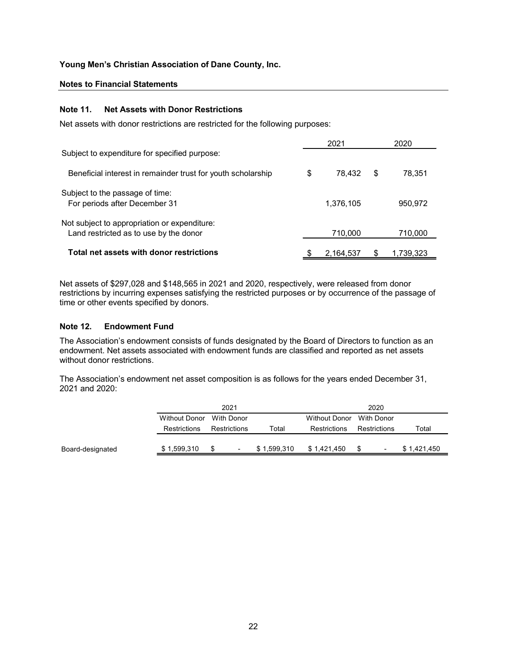### Notes to Financial Statements

#### Note 11. Net Assets with Donor Restrictions

| Young Men's Christian Association of Dane County, Inc.                                 |                                                                                                                                                                                                            |       |                      |              |           |  |  |  |  |  |
|----------------------------------------------------------------------------------------|------------------------------------------------------------------------------------------------------------------------------------------------------------------------------------------------------------|-------|----------------------|--------------|-----------|--|--|--|--|--|
| <b>Notes to Financial Statements</b>                                                   |                                                                                                                                                                                                            |       |                      |              |           |  |  |  |  |  |
| <b>Note 11.</b>                                                                        | <b>Net Assets with Donor Restrictions</b>                                                                                                                                                                  |       |                      |              |           |  |  |  |  |  |
|                                                                                        | Net assets with donor restrictions are restricted for the following purposes:                                                                                                                              |       |                      |              |           |  |  |  |  |  |
|                                                                                        |                                                                                                                                                                                                            |       | 2021                 |              | 2020      |  |  |  |  |  |
|                                                                                        | Subject to expenditure for specified purpose:                                                                                                                                                              |       |                      |              |           |  |  |  |  |  |
|                                                                                        | Beneficial interest in remainder trust for youth scholarship                                                                                                                                               | \$    | 78,432               | \$           | 78,351    |  |  |  |  |  |
| Subject to the passage of time:                                                        |                                                                                                                                                                                                            |       |                      |              |           |  |  |  |  |  |
| For periods after December 31                                                          |                                                                                                                                                                                                            |       | 1,376,105            |              | 950,972   |  |  |  |  |  |
| Not subject to appropriation or expenditure:<br>Land restricted as to use by the donor |                                                                                                                                                                                                            |       | 710,000              |              | 710,000   |  |  |  |  |  |
|                                                                                        |                                                                                                                                                                                                            |       |                      |              |           |  |  |  |  |  |
|                                                                                        | Total net assets with donor restrictions                                                                                                                                                                   |       | 2,164,537            | S.           | 1,739,323 |  |  |  |  |  |
| time or other events specified by donors.                                              | Net assets of \$297,028 and \$148,565 in 2021 and 2020, respectively, were released from donor<br>restrictions by incurring expenses satisfying the restricted purposes or by occurrence of the passage of |       |                      |              |           |  |  |  |  |  |
| <b>Endowment Fund</b><br>Note 12.                                                      |                                                                                                                                                                                                            |       |                      |              |           |  |  |  |  |  |
|                                                                                        | The Association's endowment consists of funds designated by the Board of Directors to function as an<br>endowment. Net assets associated with endowment funds are classified and reported as net assets    |       |                      |              |           |  |  |  |  |  |
| without donor restrictions.                                                            |                                                                                                                                                                                                            |       |                      |              |           |  |  |  |  |  |
| 2021 and 2020:                                                                         | The Association's endowment net asset composition is as follows for the years ended December 31,                                                                                                           |       |                      |              |           |  |  |  |  |  |
|                                                                                        | 2021                                                                                                                                                                                                       |       |                      | 2020         |           |  |  |  |  |  |
|                                                                                        | <b>With Donor</b><br><b>Without Donor</b>                                                                                                                                                                  |       | <b>Without Donor</b> | With Donor   |           |  |  |  |  |  |
|                                                                                        | Restrictions<br>Restrictions                                                                                                                                                                               | Total | Restrictions         | Restrictions | Total     |  |  |  |  |  |

# Note 12. Endowment Fund

| Not subject to appropriation or expenditure:<br>Land restricted as to use by the donor                                                                                                                                                                |                                      |                                   |             | 710,000                              |                                   | 710,000     |
|-------------------------------------------------------------------------------------------------------------------------------------------------------------------------------------------------------------------------------------------------------|--------------------------------------|-----------------------------------|-------------|--------------------------------------|-----------------------------------|-------------|
| Total net assets with donor restrictions                                                                                                                                                                                                              |                                      |                                   |             | 2,164,537                            | -SS                               | 1,739,323   |
| Net assets of \$297,028 and \$148,565 in 2021 and 2020, respectively, were released from donor<br>estrictions by incurring expenses satisfying the restricted purposes or by occurrence of the passage of<br>ime or other events specified by donors. |                                      |                                   |             |                                      |                                   |             |
| <b>Endowment Fund</b><br><b>Note 12.</b>                                                                                                                                                                                                              |                                      |                                   |             |                                      |                                   |             |
| The Association's endowment consists of funds designated by the Board of Directors to function as an<br>endowment. Net assets associated with endowment funds are classified and reported as net assets<br>without donor restrictions.                |                                      |                                   |             |                                      |                                   |             |
| The Association's endowment net asset composition is as follows for the years ended December 31,<br>2021 and 2020:                                                                                                                                    |                                      |                                   |             |                                      |                                   |             |
|                                                                                                                                                                                                                                                       |                                      | 2021                              |             |                                      | 2020                              |             |
|                                                                                                                                                                                                                                                       | <b>Without Donor</b><br>Restrictions | <b>With Donor</b><br>Restrictions | Total       | <b>Without Donor</b><br>Restrictions | <b>With Donor</b><br>Restrictions | Total       |
| Board-designated                                                                                                                                                                                                                                      | \$1,599,310                          | - \$                              | \$1,599,310 | \$1,421,450                          | - \$                              | \$1,421,450 |
|                                                                                                                                                                                                                                                       |                                      |                                   |             |                                      |                                   |             |
|                                                                                                                                                                                                                                                       |                                      |                                   |             |                                      |                                   |             |